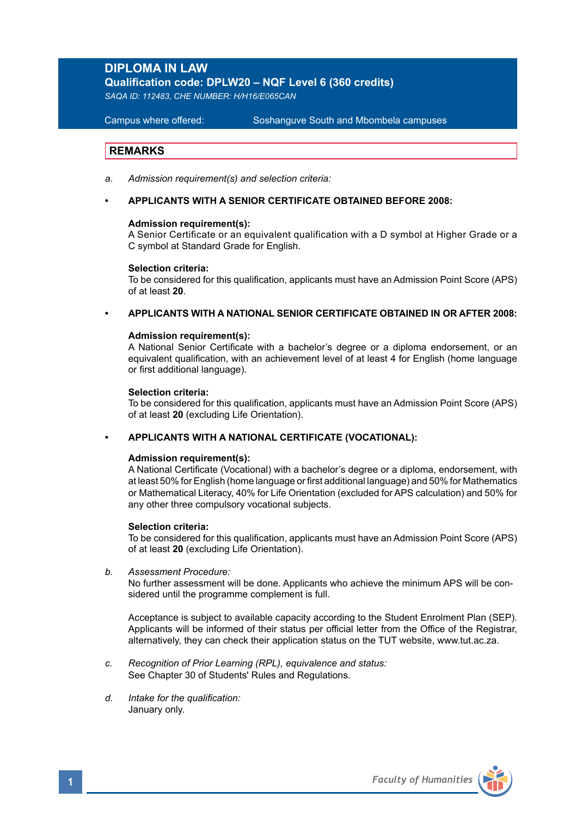# **DIPLOMA IN LAW**

**Qualification code: DPLW20 – NQF Level 6 (360 credits)**

*SAQA ID: 112483, CHE NUMBER: H/H16/E065CAN* 

**Campus where offered:** 

Soshanguve South and Mbombela campuses

# **REMARKS**

- *a*. *Admission requirement(s) and selection criteria:*
- **• APPLICANTS WITH A SENIOR CERTIFICATE OBTAINED BEFORE 2008:**

### **Admission requirement(s):**

A Senior Certificate or an equivalent qualification with a D symbol at Higher Grade or a C symbol at Standard Grade for English.

#### **Selection criteria:**

To be considered for this qualification, applicants must have an Admission Point Score (APS) of at least **20**.

**• APPLICANTS WITH A NATIONAL SENIOR CERTIFICATE OBTAINED IN OR AFTER 2008:**

### **Admission requirement(s):**

A National Senior Certificate with a bachelor's degree or a diploma endorsement, or an equivalent qualification, with an achievement level of at least 4 for English (home language or first additional language).

### **Selection criteria:**

To be considered for this qualification, applicants must have an Admission Point Score (APS) of at least **20** (excluding Life Orientation).

### **• APPLICANTS WITH A NATIONAL CERTIFICATE (VOCATIONAL):**

## **Admission requirement(s):**

A National Certificate (Vocational) with a bachelor's degree or a diploma, endorsement, with at least 50% for English (home language or first additional language) and 50% for Mathematics or Mathematical Literacy, 40% for Life Orientation (excluded for APS calculation) and 50% for any other three compulsory vocational subjects.

### **Selection criteria:**

To be considered for this qualification, applicants must have an Admission Point Score (APS) of at least **20** (excluding Life Orientation).

*b. Assessment Procedure:* 

No further assessment will be done. Applicants who achieve the minimum APS will be considered until the programme complement is full.

Acceptance is subject to available capacity according to the Student Enrolment Plan (SEP). Applicants will be informed of their status per official letter from the Office of the Registrar, alternatively, they can check their application status on the TUT website, www.tut.ac.za.

- *c. Recognition of Prior Learning (RPL), equivalence and status:* See Chapter 30 of Students' Rules and Regulations.
- *d. Intake for the qualification:* January only.

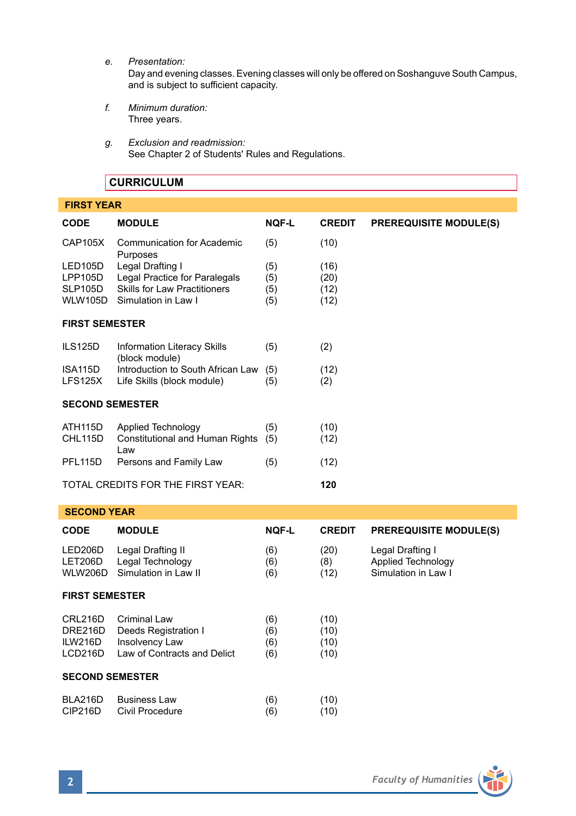*e. Presentation:*

Day and evening classes. Evening classes will only be offered on Soshanguve South Campus, and is subject to sufficient capacity.

- *f. Minimum duration:* Three years.
- *g. Exclusion and readmission:* See Chapter 2 of Students' Rules and Regulations.

# **CURRICULUM**

| <b>FIRST YEAR</b>                                      |                                                                                                                 |                          |                              |                                                                      |  |  |  |  |  |
|--------------------------------------------------------|-----------------------------------------------------------------------------------------------------------------|--------------------------|------------------------------|----------------------------------------------------------------------|--|--|--|--|--|
| <b>CODE</b>                                            | <b>MODULE</b>                                                                                                   | <b>NOF-L</b>             | <b>CREDIT</b>                | <b>PREREQUISITE MODULE(S)</b>                                        |  |  |  |  |  |
| <b>CAP105X</b>                                         | <b>Communication for Academic</b><br>Purposes                                                                   | (5)                      | (10)                         |                                                                      |  |  |  |  |  |
| LED105D<br><b>LPP105D</b><br>SLP105D<br><b>WLW105D</b> | Legal Drafting I<br>Legal Practice for Paralegals<br><b>Skills for Law Practitioners</b><br>Simulation in Law I | (5)<br>(5)<br>(5)<br>(5) | (16)<br>(20)<br>(12)<br>(12) |                                                                      |  |  |  |  |  |
| <b>FIRST SEMESTER</b>                                  |                                                                                                                 |                          |                              |                                                                      |  |  |  |  |  |
| <b>ILS125D</b>                                         | Information Literacy Skills<br>(block module)                                                                   | (5)                      | (2)                          |                                                                      |  |  |  |  |  |
| ISA115D<br>LFS125X                                     | Introduction to South African Law<br>Life Skills (block module)                                                 | (5)<br>(5)               | (12)<br>(2)                  |                                                                      |  |  |  |  |  |
| <b>SECOND SEMESTER</b>                                 |                                                                                                                 |                          |                              |                                                                      |  |  |  |  |  |
| ATH115D<br>CHL115D                                     | <b>Applied Technology</b><br><b>Constitutional and Human Rights</b><br>Law                                      | (5)<br>(5)               | (10)<br>(12)                 |                                                                      |  |  |  |  |  |
| PFL115D                                                | Persons and Family Law                                                                                          | (5)                      | (12)                         |                                                                      |  |  |  |  |  |
|                                                        | TOTAL CREDITS FOR THE FIRST YEAR:                                                                               |                          | 120                          |                                                                      |  |  |  |  |  |
| <b>SECOND YEAR</b>                                     |                                                                                                                 |                          |                              |                                                                      |  |  |  |  |  |
| <b>CODE</b>                                            | <b>MODULE</b>                                                                                                   | NQF-L                    | <b>CREDIT</b>                | <b>PREREQUISITE MODULE(S)</b>                                        |  |  |  |  |  |
| LED206D<br>LET206D<br><b>WLW206D</b>                   | Legal Drafting II<br>Legal Technology<br>Simulation in Law II                                                   | (6)<br>(6)<br>(6)        | (20)<br>(8)<br>(12)          | Legal Drafting I<br><b>Applied Technology</b><br>Simulation in Law I |  |  |  |  |  |
| <b>FIRST SEMESTER</b>                                  |                                                                                                                 |                          |                              |                                                                      |  |  |  |  |  |
| CRL216D<br>DRE216D<br>ILW216D<br>LCD216D               | <b>Criminal Law</b><br>Deeds Registration I<br><b>Insolvency Law</b><br>Law of Contracts and Delict             | (6)<br>(6)<br>(6)<br>(6) | (10)<br>(10)<br>(10)<br>(10) |                                                                      |  |  |  |  |  |
| <b>SECOND SEMESTER</b>                                 |                                                                                                                 |                          |                              |                                                                      |  |  |  |  |  |
| BLA216D<br>CIP216D                                     | <b>Business Law</b><br>Civil Procedure                                                                          | (6)<br>(6)               | (10)<br>(10)                 |                                                                      |  |  |  |  |  |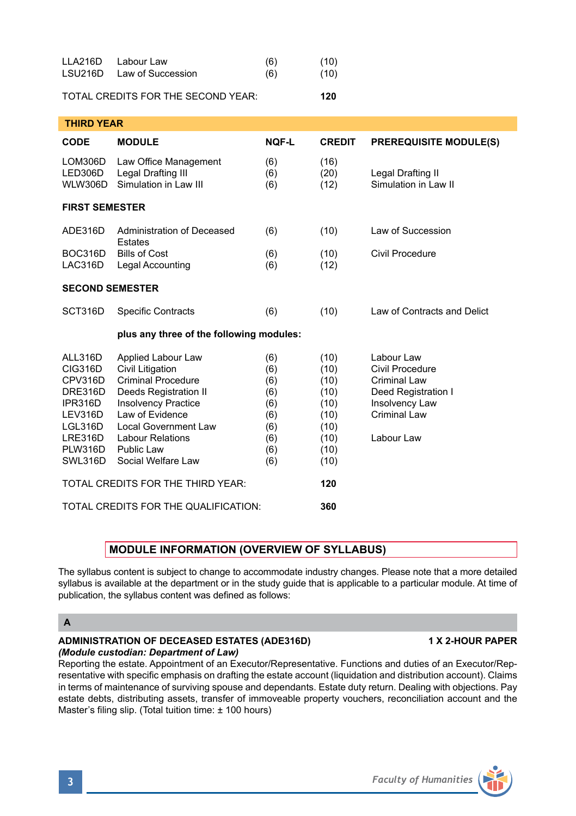| $\overline{\mathbf{3}}$ |  | <b>Faculty of Humanities</b> |
|-------------------------|--|------------------------------|
|                         |  |                              |

| <b>THIRD YEAR</b>                                                                                                        |                                                                                                                                                                                                                                             |                                                                    |                                                                              |                                                                                                                             |  |  |  |  |  |
|--------------------------------------------------------------------------------------------------------------------------|---------------------------------------------------------------------------------------------------------------------------------------------------------------------------------------------------------------------------------------------|--------------------------------------------------------------------|------------------------------------------------------------------------------|-----------------------------------------------------------------------------------------------------------------------------|--|--|--|--|--|
| <b>CODE</b>                                                                                                              | <b>MODULE</b>                                                                                                                                                                                                                               | <b>NOF-L</b>                                                       | <b>CREDIT</b>                                                                | <b>PREREQUISITE MODULE(S)</b>                                                                                               |  |  |  |  |  |
| LOM306D<br>LED306D<br>WLW306D                                                                                            | Law Office Management<br>Legal Drafting III<br>Simulation in Law III                                                                                                                                                                        | (6)<br>(6)<br>(6)                                                  | (16)<br>(20)<br>(12)                                                         | Legal Drafting II<br>Simulation in Law II                                                                                   |  |  |  |  |  |
| <b>FIRST SEMESTER</b>                                                                                                    |                                                                                                                                                                                                                                             |                                                                    |                                                                              |                                                                                                                             |  |  |  |  |  |
| ADE316D                                                                                                                  | Administration of Deceased<br>Estates                                                                                                                                                                                                       | (6)                                                                | (10)                                                                         | Law of Succession                                                                                                           |  |  |  |  |  |
| LAC316D                                                                                                                  | BOC316D Bills of Cost<br>Legal Accounting                                                                                                                                                                                                   | (6)<br>(6)                                                         | (10)<br>(12)                                                                 | Civil Procedure                                                                                                             |  |  |  |  |  |
| <b>SECOND SEMESTER</b>                                                                                                   |                                                                                                                                                                                                                                             |                                                                    |                                                                              |                                                                                                                             |  |  |  |  |  |
| SCT316D                                                                                                                  | <b>Specific Contracts</b>                                                                                                                                                                                                                   | (6)                                                                | (10)                                                                         | Law of Contracts and Delict                                                                                                 |  |  |  |  |  |
|                                                                                                                          | plus any three of the following modules:                                                                                                                                                                                                    |                                                                    |                                                                              |                                                                                                                             |  |  |  |  |  |
| ALL316D<br><b>CIG316D</b><br>CPV316D<br>DRE316D<br>IPR316D<br>LEV316D<br>LGL316D<br>LRE316D<br><b>PLW316D</b><br>SWL316D | Applied Labour Law<br><b>Civil Litigation</b><br><b>Criminal Procedure</b><br>Deeds Registration II<br><b>Insolvency Practice</b><br>Law of Evidence<br>Local Government Law<br><b>Labour Relations</b><br>Public Law<br>Social Welfare Law | (6)<br>(6)<br>(6)<br>(6)<br>(6)<br>(6)<br>(6)<br>(6)<br>(6)<br>(6) | (10)<br>(10)<br>(10)<br>(10)<br>(10)<br>(10)<br>(10)<br>(10)<br>(10)<br>(10) | Labour Law<br>Civil Procedure<br><b>Criminal Law</b><br>Deed Registration I<br>Insolvency Law<br>Criminal Law<br>Labour Law |  |  |  |  |  |
|                                                                                                                          | TOTAL CREDITS FOR THE THIRD YEAR:                                                                                                                                                                                                           | 120                                                                |                                                                              |                                                                                                                             |  |  |  |  |  |
|                                                                                                                          | TOTAL CREDITS FOR THE QUALIFICATION:                                                                                                                                                                                                        | 360                                                                |                                                                              |                                                                                                                             |  |  |  |  |  |

LLA216D Labour Law (6) (10) LSU216D Law of Succession (6) (10) TOTAL CREDITS FOR THE SECOND YEAR: **120**

# **MODULE INFORMATION (OVERVIEW OF SYLLABUS)**

The syllabus content is subject to change to accommodate industry changes. Please note that a more detailed syllabus is available at the department or in the study guide that is applicable to a particular module. At time of publication, the syllabus content was defined as follows:

# **A**

# **ADMINISTRATION OF DECEASED ESTATES (ADE316D) 1 X 2-HOUR PAPER** *(Module custodian: Department of Law)*

Reporting the estate. Appointment of an Executor/Representative. Functions and duties of an Executor/Representative with specific emphasis on drafting the estate account (liquidation and distribution account). Claims in terms of maintenance of surviving spouse and dependants. Estate duty return. Dealing with objections. Pay estate debts, distributing assets, transfer of immoveable property vouchers, reconciliation account and the Master's filing slip. (Total tuition time: ± 100 hours)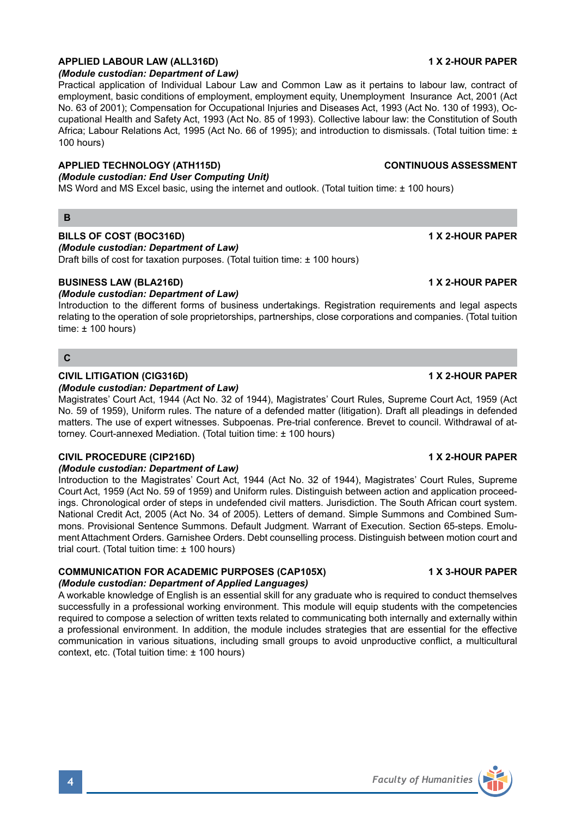# **APPLIED LABOUR LAW (ALL316D) 1 X 2-HOUR PAPER**

# *(Module custodian: Department of Law)*

Practical application of Individual Labour Law and Common Law as it pertains to labour law, contract of employment, basic conditions of employment, employment equity, Unemployment Insurance Act, 2001 (Act No. 63 of 2001); Compensation for Occupational Injuries and Diseases Act, 1993 (Act No. 130 of 1993), Occupational Health and Safety Act, 1993 (Act No. 85 of 1993). Collective labour law: the Constitution of South Africa; Labour Relations Act, 1995 (Act No. 66 of 1995); and introduction to dismissals. (Total tuition time: ± 100 hours)

### **APPLIED TECHNOLOGY (ATH115D) CONTINUOUS ASSESSMENT**

# *(Module custodian: End User Computing Unit)*

MS Word and MS Excel basic, using the internet and outlook. (Total tuition time: ± 100 hours)

### **B**

# **BILLS OF COST (BOC316D) 1 X 2-HOUR PAPER**

*(Module custodian: Department of Law)*

Draft bills of cost for taxation purposes. (Total tuition time: ± 100 hours)

## **BUSINESS LAW (BLA216D) 1 X 2-HOUR PAPER**

### *(Module custodian: Department of Law)*

Introduction to the different forms of business undertakings. Registration requirements and legal aspects relating to the operation of sole proprietorships, partnerships, close corporations and companies. (Total tuition time:  $\pm$  100 hours)

### **C**

## **CIVIL LITIGATION (CIG316D) 1 X 2-HOUR PAPER**

#### *(Module custodian: Department of Law)*

Magistrates' Court Act, 1944 (Act No. 32 of 1944), Magistrates' Court Rules, Supreme Court Act, 1959 (Act No. 59 of 1959), Uniform rules. The nature of a defended matter (litigation). Draft all pleadings in defended matters. The use of expert witnesses. Subpoenas. Pre-trial conference. Brevet to council. Withdrawal of attorney. Court-annexed Mediation. (Total tuition time: ± 100 hours)

### **CIVIL PROCEDURE (CIP216D) 1 X 2-HOUR PAPER**

### *(Module custodian: Department of Law)*

Introduction to the Magistrates' Court Act, 1944 (Act No. 32 of 1944), Magistrates' Court Rules, Supreme Court Act, 1959 (Act No. 59 of 1959) and Uniform rules. Distinguish between action and application proceedings. Chronological order of steps in undefended civil matters. Jurisdiction. The South African court system. National Credit Act, 2005 (Act No. 34 of 2005). Letters of demand. Simple Summons and Combined Summons. Provisional Sentence Summons. Default Judgment. Warrant of Execution. Section 65-steps. Emolument Attachment Orders. Garnishee Orders. Debt counselling process. Distinguish between motion court and trial court. (Total tuition time: ± 100 hours)

### **COMMUNICATION FOR ACADEMIC PURPOSES (CAP105X) 1 X 3-HOUR PAPER** *(Module custodian: Department of Applied Languages)*

A workable knowledge of English is an essential skill for any graduate who is required to conduct themselves successfully in a professional working environment. This module will equip students with the competencies required to compose a selection of written texts related to communicating both internally and externally within a professional environment. In addition, the module includes strategies that are essential for the effective communication in various situations, including small groups to avoid unproductive conflict, a multicultural context, etc. (Total tuition time: ± 100 hours)

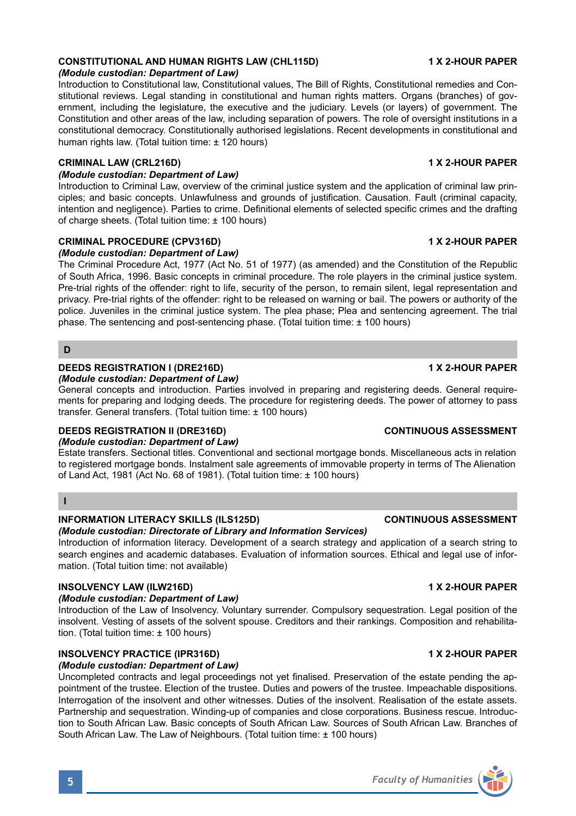## **CONSTITUTIONAL AND HUMAN RIGHTS LAW (CHL115D) 1 X 2-HOUR PAPER**

#### *(Module custodian: Department of Law)*

Introduction to Constitutional law, Constitutional values, The Bill of Rights, Constitutional remedies and Constitutional reviews. Legal standing in constitutional and human rights matters. Organs (branches) of government, including the legislature, the executive and the judiciary. Levels (or layers) of government. The Constitution and other areas of the law, including separation of powers. The role of oversight institutions in a constitutional democracy. Constitutionally authorised legislations. Recent developments in constitutional and human rights law. (Total tuition time: ± 120 hours)

### **CRIMINAL LAW (CRL216D) 1 X 2-HOUR PAPER**

### *(Module custodian: Department of Law)*

Introduction to Criminal Law, overview of the criminal justice system and the application of criminal law principles; and basic concepts. Unlawfulness and grounds of justification. Causation. Fault (criminal capacity, intention and negligence). Parties to crime. Definitional elements of selected specific crimes and the drafting of charge sheets. (Total tuition time: ± 100 hours)

### **CRIMINAL PROCEDURE (CPV316D) 1 X 2-HOUR PAPER**

### *(Module custodian: Department of Law)*

The Criminal Procedure Act, 1977 (Act No. 51 of 1977) (as amended) and the Constitution of the Republic of South Africa, 1996. Basic concepts in criminal procedure. The role players in the criminal justice system. Pre-trial rights of the offender: right to life, security of the person, to remain silent, legal representation and privacy. Pre-trial rights of the offender: right to be released on warning or bail. The powers or authority of the police. Juveniles in the criminal justice system. The plea phase; Plea and sentencing agreement. The trial phase. The sentencing and post-sentencing phase. (Total tuition time: ± 100 hours)

## **D**

### **DEEDS REGISTRATION I (DRE216D) 1 X 2-HOUR PAPER**

*(Module custodian: Department of Law)*

General concepts and introduction. Parties involved in preparing and registering deeds. General requirements for preparing and lodging deeds. The procedure for registering deeds. The power of attorney to pass transfer. General transfers. (Total tuition time: ± 100 hours)

### **DEEDS REGISTRATION II (DRE316D) CONTINUOUS ASSESSMENT**

### *(Module custodian: Department of Law)*

Estate transfers. Sectional titles. Conventional and sectional mortgage bonds. Miscellaneous acts in relation to registered mortgage bonds. Instalment sale agreements of immovable property in terms of The Alienation of Land Act, 1981 (Act No. 68 of 1981). (Total tuition time: ± 100 hours)

# **I**

# **INFORMATION LITERACY SKILLS (ILS125D) CONTINUOUS ASSESSMENT**

# *(Module custodian: Directorate of Library and Information Services)*

Introduction of information literacy. Development of a search strategy and application of a search string to search engines and academic databases. Evaluation of information sources. Ethical and legal use of information. (Total tuition time: not available)

# **INSOLVENCY LAW (ILW216D) 1 X 2-HOUR PAPER**

# *(Module custodian: Department of Law)*

Introduction of the Law of Insolvency. Voluntary surrender. Compulsory sequestration. Legal position of the insolvent. Vesting of assets of the solvent spouse. Creditors and their rankings. Composition and rehabilitation. (Total tuition time: ± 100 hours)

# **INSOLVENCY PRACTICE (IPR316D) 1 X 2-HOUR PAPER**

# *(Module custodian: Department of Law)*

Uncompleted contracts and legal proceedings not yet finalised. Preservation of the estate pending the appointment of the trustee. Election of the trustee. Duties and powers of the trustee. Impeachable dispositions. Interrogation of the insolvent and other witnesses. Duties of the insolvent. Realisation of the estate assets. Partnership and sequestration. Winding-up of companies and close corporations. Business rescue. Introduction to South African Law. Basic concepts of South African Law. Sources of South African Law. Branches of South African Law. The Law of Neighbours. (Total tuition time: ± 100 hours)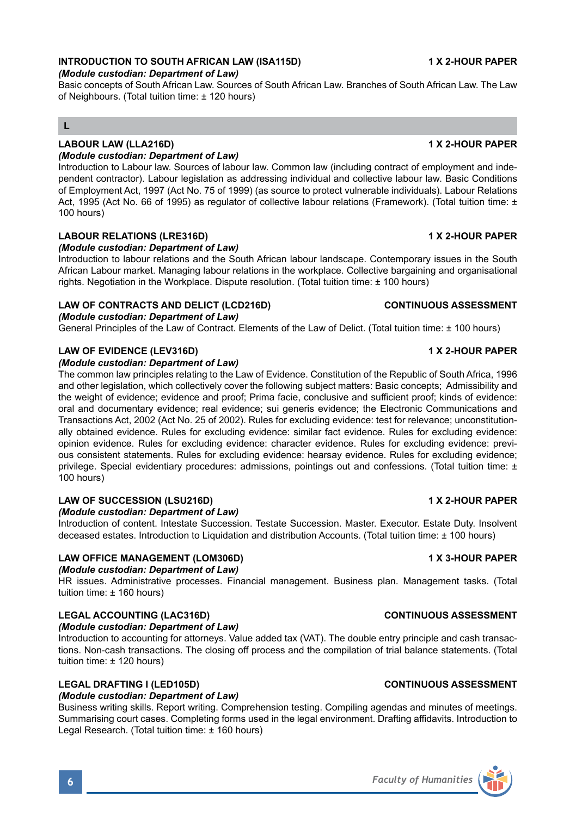# **INTRODUCTION TO SOUTH AFRICAN LAW (ISA115D) 1 X 2-HOUR PAPER**

### *(Module custodian: Department of Law)*

Basic concepts of South African Law. Sources of South African Law. Branches of South African Law. The Law of Neighbours. (Total tuition time: ± 120 hours)

# **L**

### **LABOUR LAW (LLA216D) 1 X 2-HOUR PAPER**

### *(Module custodian: Department of Law)*

Introduction to Labour law. Sources of labour law. Common law (including contract of employment and independent contractor). Labour legislation as addressing individual and collective labour law. Basic Conditions of Employment Act, 1997 (Act No. 75 of 1999) (as source to protect vulnerable individuals). Labour Relations Act, 1995 (Act No. 66 of 1995) as regulator of collective labour relations (Framework). (Total tuition time: ± 100 hours)

## **LABOUR RELATIONS (LRE316D) 1 X 2-HOUR PAPER**

### *(Module custodian: Department of Law)*

Introduction to labour relations and the South African labour landscape. Contemporary issues in the South African Labour market. Managing labour relations in the workplace. Collective bargaining and organisational rights. Negotiation in the Workplace. Dispute resolution. (Total tuition time: ± 100 hours)

# **LAW OF CONTRACTS AND DELICT (LCD216D) CONTINUOUS ASSESSMENT**

## *(Module custodian: Department of Law)*

General Principles of the Law of Contract. Elements of the Law of Delict. (Total tuition time: ± 100 hours)

## **LAW OF EVIDENCE (LEV316D) 1 X 2-HOUR PAPER**

### *(Module custodian: Department of Law)*

The common law principles relating to the Law of Evidence. Constitution of the Republic of South Africa, 1996 and other legislation, which collectively cover the following subject matters: Basic concepts; Admissibility and the weight of evidence; evidence and proof; Prima facie, conclusive and sufficient proof; kinds of evidence: oral and documentary evidence; real evidence; sui generis evidence; the Electronic Communications and Transactions Act, 2002 (Act No. 25 of 2002). Rules for excluding evidence: test for relevance; unconstitutionally obtained evidence. Rules for excluding evidence: similar fact evidence. Rules for excluding evidence: opinion evidence. Rules for excluding evidence: character evidence. Rules for excluding evidence: previous consistent statements. Rules for excluding evidence: hearsay evidence. Rules for excluding evidence; privilege. Special evidentiary procedures: admissions, pointings out and confessions. (Total tuition time: ± 100 hours)

## **LAW OF SUCCESSION (LSU216D) 1 X 2-HOUR PAPER**

## *(Module custodian: Department of Law)*

Introduction of content. Intestate Succession. Testate Succession. Master. Executor. Estate Duty. Insolvent deceased estates. Introduction to Liquidation and distribution Accounts. (Total tuition time: ± 100 hours)

## **LAW OFFICE MANAGEMENT (LOM306D) 1 X 3-HOUR PAPER**

# *(Module custodian: Department of Law)*

HR issues. Administrative processes. Financial management. Business plan. Management tasks. (Total tuition time: ± 160 hours)

## **LEGAL ACCOUNTING (LAC316D) CONTINUOUS ASSESSMENT**

### *(Module custodian: Department of Law)*

Introduction to accounting for attorneys. Value added tax (VAT). The double entry principle and cash transactions. Non-cash transactions. The closing off process and the compilation of trial balance statements. (Total tuition time: ± 120 hours)

# **LEGAL DRAFTING I (LED105D) CONTINUOUS ASSESSMENT**

## *(Module custodian: Department of Law)*

Business writing skills. Report writing. Comprehension testing. Compiling agendas and minutes of meetings. Summarising court cases. Completing forms used in the legal environment. Drafting affidavits. Introduction to Legal Research. (Total tuition time: ± 160 hours)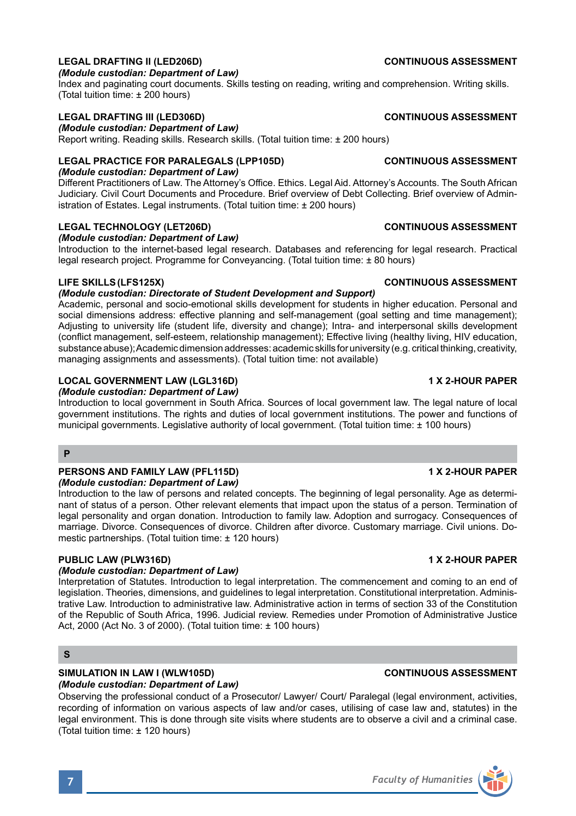# **LEGAL DRAFTING II (LED206D) CONTINUOUS ASSESSMENT**

### *(Module custodian: Department of Law)*

Index and paginating court documents. Skills testing on reading, writing and comprehension. Writing skills. (Total tuition time: ± 200 hours)

## **LEGAL DRAFTING III (LED306D) CONTINUOUS ASSESSMENT**

*(Module custodian: Department of Law)*

Report writing. Reading skills. Research skills. (Total tuition time: ± 200 hours)

# **LEGAL PRACTICE FOR PARALEGALS (LPP105D) CONTINUOUS ASSESSMENT**

*(Module custodian: Department of Law)*

Different Practitioners of Law. The Attorney's Office. Ethics. Legal Aid. Attorney's Accounts. The South African Judiciary. Civil Court Documents and Procedure. Brief overview of Debt Collecting. Brief overview of Administration of Estates. Legal instruments. (Total tuition time: ± 200 hours)

# **LEGAL TECHNOLOGY (LET206D) CONTINUOUS ASSESSMENT**

*(Module custodian: Department of Law)*

Introduction to the internet-based legal research. Databases and referencing for legal research. Practical legal research project. Programme for Conveyancing. (Total tuition time: ± 80 hours)

## **LIFE SKILLS(LFS125X) CONTINUOUS ASSESSMENT**

# *(Module custodian: Directorate of Student Development and Support)*

Academic, personal and socio-emotional skills development for students in higher education. Personal and social dimensions address: effective planning and self-management (goal setting and time management); Adjusting to university life (student life, diversity and change); Intra- and interpersonal skills development (conflict management, self-esteem, relationship management); Effective living (healthy living, HIV education, substance abuse); Academic dimension addresses: academic skills for university (e.g. critical thinking, creativity, managing assignments and assessments). (Total tuition time: not available)

# **LOCAL GOVERNMENT LAW (LGL316D) 1 X 2-HOUR PAPER**

*(Module custodian: Department of Law)*

Introduction to local government in South Africa. Sources of local government law. The legal nature of local government institutions. The rights and duties of local government institutions. The power and functions of municipal governments. Legislative authority of local government. (Total tuition time: ± 100 hours)

## **P**

#### **PERSONS AND FAMILY LAW (PFL115D) 1 X 2-HOUR PAPER** *(Module custodian: Department of Law)*

Introduction to the law of persons and related concepts. The beginning of legal personality. Age as determinant of status of a person. Other relevant elements that impact upon the status of a person. Termination of legal personality and organ donation. Introduction to family law. Adoption and surrogacy. Consequences of marriage. Divorce. Consequences of divorce. Children after divorce. Customary marriage. Civil unions. Domestic partnerships. (Total tuition time: ± 120 hours)

# **PUBLIC LAW (PLW316D) 1 X 2-HOUR PAPER**

## *(Module custodian: Department of Law)*

Interpretation of Statutes. Introduction to legal interpretation. The commencement and coming to an end of legislation. Theories, dimensions, and guidelines to legal interpretation. Constitutional interpretation. Administrative Law. Introduction to administrative law. Administrative action in terms of section 33 of the Constitution of the Republic of South Africa, 1996. Judicial review. Remedies under Promotion of Administrative Justice Act, 2000 (Act No. 3 of 2000). (Total tuition time: ± 100 hours)

# **S**

# **SIMULATION IN LAW I (WLW105D) CONTINUOUS ASSESSMENT**

# *(Module custodian: Department of Law)*

Observing the professional conduct of a Prosecutor/ Lawyer/ Court/ Paralegal (legal environment, activities, recording of information on various aspects of law and/or cases, utilising of case law and, statutes) in the legal environment. This is done through site visits where students are to observe a civil and a criminal case. (Total tuition time: ± 120 hours)